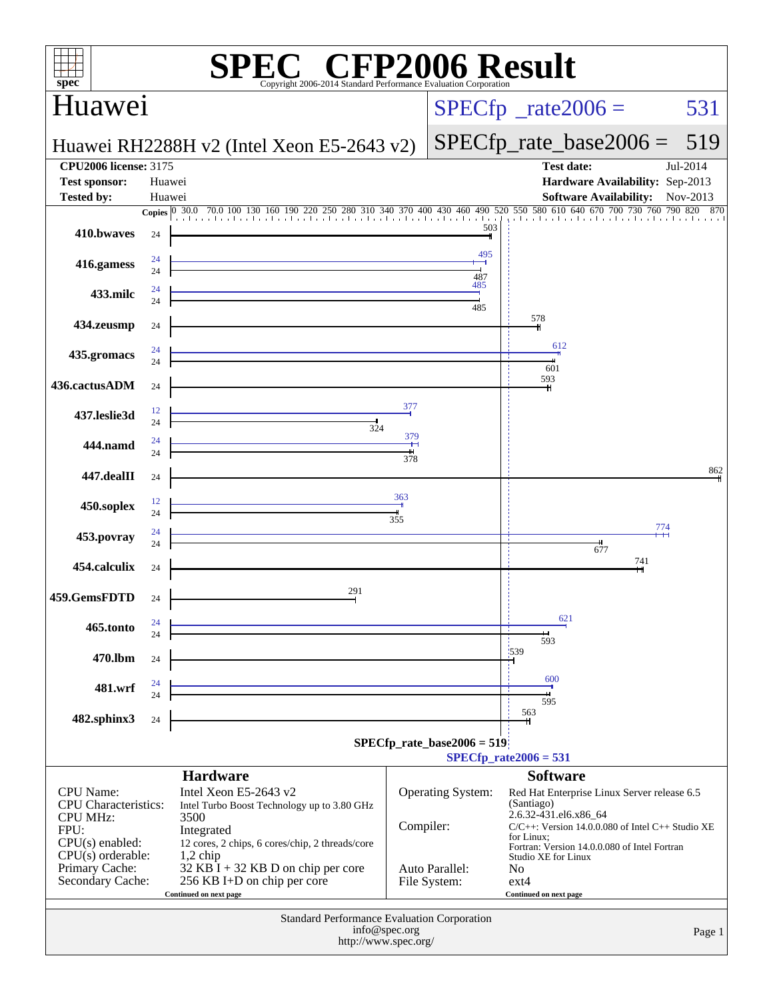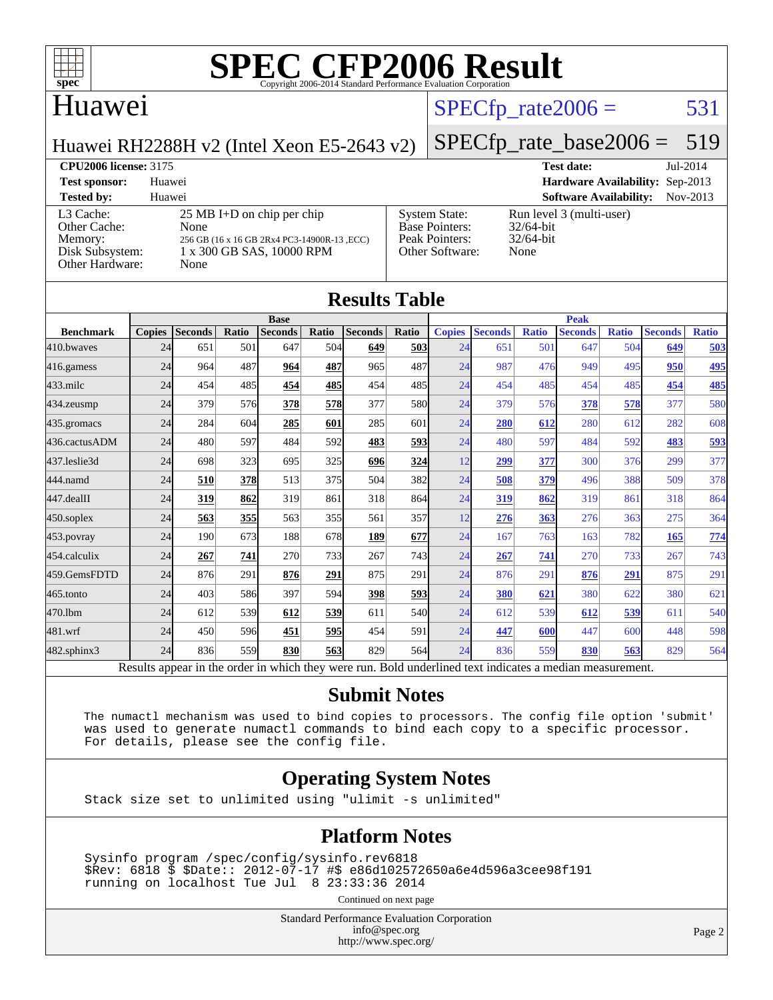

#### Huawei

### $SPECTp_rate2006 = 531$

[System State:](http://www.spec.org/auto/cpu2006/Docs/result-fields.html#SystemState) Run level 3 (multi-user)<br>Base Pointers: 32/64-bit

[Peak Pointers:](http://www.spec.org/auto/cpu2006/Docs/result-fields.html#PeakPointers) 32/64-bit [Other Software:](http://www.spec.org/auto/cpu2006/Docs/result-fields.html#OtherSoftware) None

Huawei RH2288H v2 (Intel Xeon E5-2643 v2)

## [SPECfp\\_rate\\_base2006 =](http://www.spec.org/auto/cpu2006/Docs/result-fields.html#SPECfpratebase2006) 519

**[CPU2006 license:](http://www.spec.org/auto/cpu2006/Docs/result-fields.html#CPU2006license)** 3175 **[Test date:](http://www.spec.org/auto/cpu2006/Docs/result-fields.html#Testdate)** Jul-2014 **[Test sponsor:](http://www.spec.org/auto/cpu2006/Docs/result-fields.html#Testsponsor)** Huawei **[Hardware Availability:](http://www.spec.org/auto/cpu2006/Docs/result-fields.html#HardwareAvailability)** Sep-2013 **[Tested by:](http://www.spec.org/auto/cpu2006/Docs/result-fields.html#Testedby)** Huawei **[Software Availability:](http://www.spec.org/auto/cpu2006/Docs/result-fields.html#SoftwareAvailability)** Nov-2013

[L3 Cache:](http://www.spec.org/auto/cpu2006/Docs/result-fields.html#L3Cache) 25 MB I+D on chip per chip<br>Other Cache: None [Other Cache:](http://www.spec.org/auto/cpu2006/Docs/result-fields.html#OtherCache) [Memory:](http://www.spec.org/auto/cpu2006/Docs/result-fields.html#Memory) 256 GB (16 x 16 GB 2Rx4 PC3-14900R-13 ,ECC) [Disk Subsystem:](http://www.spec.org/auto/cpu2006/Docs/result-fields.html#DiskSubsystem) 1 x 300 GB SAS, 10000 RPM

| Other Hardware:  |               | None           |       |                |       |                      |            |               |                |              |                |              |                |              |  |
|------------------|---------------|----------------|-------|----------------|-------|----------------------|------------|---------------|----------------|--------------|----------------|--------------|----------------|--------------|--|
|                  |               |                |       |                |       | <b>Results Table</b> |            |               |                |              |                |              |                |              |  |
|                  | <b>Base</b>   |                |       |                |       |                      |            | <b>Peak</b>   |                |              |                |              |                |              |  |
| <b>Benchmark</b> | <b>Copies</b> | <b>Seconds</b> | Ratio | <b>Seconds</b> | Ratio | <b>Seconds</b>       | Ratio      | <b>Copies</b> | <b>Seconds</b> | <b>Ratio</b> | <b>Seconds</b> | <b>Ratio</b> | <b>Seconds</b> | <b>Ratio</b> |  |
| 410.bwaves       | 24            | 651            | 501   | 647            | 504   | 649                  | 503        | 24            | 651            | 501          | 647            | 504          | 649            | <u>503</u>   |  |
| 416.gamess       | 24            | 964            | 487   | 964            | 487   | 965                  | 487        | 24            | 987            | 476          | 949            | 495          | 950            | 495          |  |
| 433.milc         | 24            | 454            | 485   | 454            | 485   | 454                  | 485        | 24            | 454            | 485          | 454            | 485          | 454            | 485          |  |
| 434.zeusmp       | 24            | 379            | 576   | 378            | 578   | 377                  | <b>580</b> | 24            | 379            | 576          | 378            | 578          | 377            | 580          |  |
| 435.gromacs      | 24            | 284            | 604   | 285            | 601   | 285                  | 601        | 24            | 280            | 612          | 280            | 612          | 282            | 608          |  |
| 436.cactusADM    | 24            | 480            | 597   | 484            | 592   | 483                  | <u>593</u> | 24            | 480            | 597          | 484            | 592          | 483            | <u>593</u>   |  |
| 437.leslie3d     | 24            | 698            | 323   | 695            | 325   | 696                  | 324        | 12            | 299            | 377          | 300            | 376          | 299            | 377          |  |
| 444.namd         | 24            | 510            | 378   | 513            | 375   | 504                  | 382        | 24            | 508            | 379          | 496            | 388          | 509            | 378          |  |
| 447.dealII       | 24            | 319            | 862   | 319            | 861   | 318                  | 864        | 24            | 319            | 862          | 319            | 861          | 318            | 864          |  |
| 450.soplex       | 24            | 563            | 355   | 563            | 355   | 561                  | 357        | 12            | 276            | 363          | 276            | 363          | 275            | 364          |  |
| 453.povray       | 24            | 190            | 673   | 188            | 678   | 189                  | 677        | 24            | 167            | 763          | 163            | 782          | 165            | <u>774</u>   |  |
| 454.calculix     | 24            | 267            | 741   | 270            | 733   | 267                  | 743        | 24            | 267            | 741          | 270            | 733          | 267            | 743          |  |

[Base Pointers:](http://www.spec.org/auto/cpu2006/Docs/result-fields.html#BasePointers)

#### Results appear in the [order in which they were run.](http://www.spec.org/auto/cpu2006/Docs/result-fields.html#RunOrder) Bold underlined text [indicates a median measurement.](http://www.spec.org/auto/cpu2006/Docs/result-fields.html#Median) **[Submit Notes](http://www.spec.org/auto/cpu2006/Docs/result-fields.html#SubmitNotes)**

[459.GemsFDTD](http://www.spec.org/auto/cpu2006/Docs/459.GemsFDTD.html) 24 876 291 **[876](http://www.spec.org/auto/cpu2006/Docs/result-fields.html#Median) [291](http://www.spec.org/auto/cpu2006/Docs/result-fields.html#Median)** 875 291 24 876 291 **[876](http://www.spec.org/auto/cpu2006/Docs/result-fields.html#Median) [291](http://www.spec.org/auto/cpu2006/Docs/result-fields.html#Median)** 875 291 [465.tonto](http://www.spec.org/auto/cpu2006/Docs/465.tonto.html) 24 403 586 397 594 **[398](http://www.spec.org/auto/cpu2006/Docs/result-fields.html#Median) [593](http://www.spec.org/auto/cpu2006/Docs/result-fields.html#Median)** 24 **[380](http://www.spec.org/auto/cpu2006/Docs/result-fields.html#Median) [621](http://www.spec.org/auto/cpu2006/Docs/result-fields.html#Median)** 380 622 380 621 [470.lbm](http://www.spec.org/auto/cpu2006/Docs/470.lbm.html) 24 612 539 **[612](http://www.spec.org/auto/cpu2006/Docs/result-fields.html#Median) [539](http://www.spec.org/auto/cpu2006/Docs/result-fields.html#Median)** 611 540 24 612 539 **[612](http://www.spec.org/auto/cpu2006/Docs/result-fields.html#Median) [539](http://www.spec.org/auto/cpu2006/Docs/result-fields.html#Median)** 611 540 [481.wrf](http://www.spec.org/auto/cpu2006/Docs/481.wrf.html) 24 450 596 **[451](http://www.spec.org/auto/cpu2006/Docs/result-fields.html#Median) [595](http://www.spec.org/auto/cpu2006/Docs/result-fields.html#Median)** 454 591 24 **[447](http://www.spec.org/auto/cpu2006/Docs/result-fields.html#Median) [600](http://www.spec.org/auto/cpu2006/Docs/result-fields.html#Median)** 447 600 448 598 [482.sphinx3](http://www.spec.org/auto/cpu2006/Docs/482.sphinx3.html) 24 836 559 **[830](http://www.spec.org/auto/cpu2006/Docs/result-fields.html#Median) [563](http://www.spec.org/auto/cpu2006/Docs/result-fields.html#Median)** 829 564 24 836 559 **[830](http://www.spec.org/auto/cpu2006/Docs/result-fields.html#Median) [563](http://www.spec.org/auto/cpu2006/Docs/result-fields.html#Median)** 829 564

 The numactl mechanism was used to bind copies to processors. The config file option 'submit' was used to generate numactl commands to bind each copy to a specific processor. For details, please see the config file.

#### **[Operating System Notes](http://www.spec.org/auto/cpu2006/Docs/result-fields.html#OperatingSystemNotes)**

Stack size set to unlimited using "ulimit -s unlimited"

#### **[Platform Notes](http://www.spec.org/auto/cpu2006/Docs/result-fields.html#PlatformNotes)**

 Sysinfo program /spec/config/sysinfo.rev6818 \$Rev: 6818 \$ \$Date:: 2012-07-17 #\$ e86d102572650a6e4d596a3cee98f191 running on localhost Tue Jul 8 23:33:36 2014

Continued on next page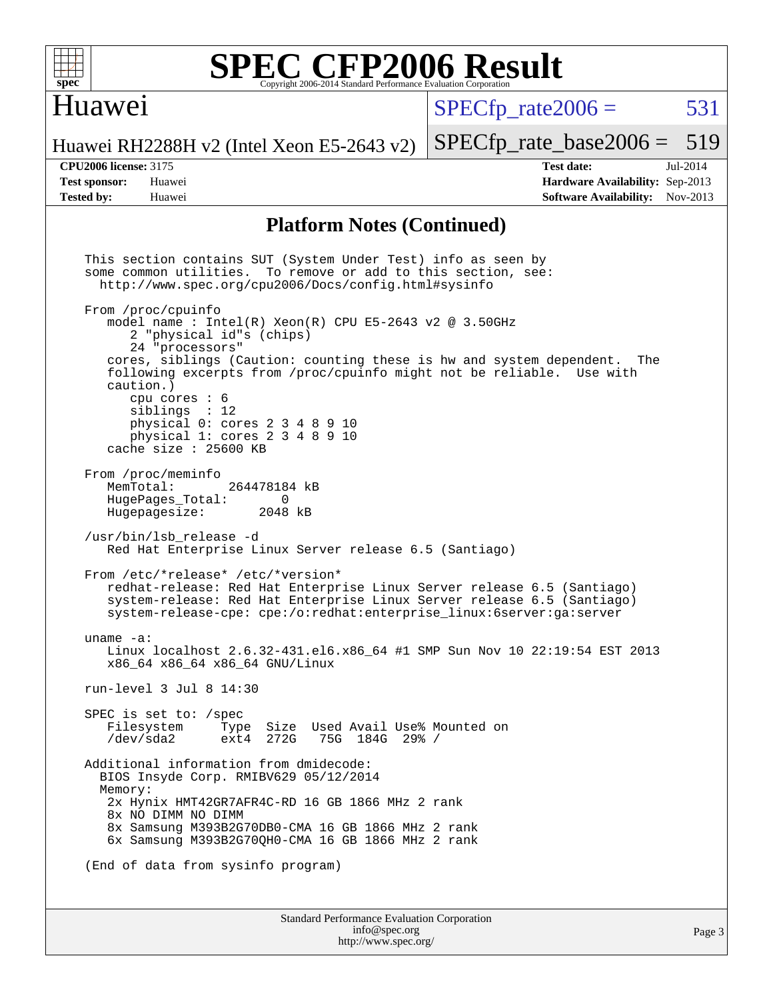

#### Huawei

 $SPECTp\_rate2006 = 531$ 

[SPECfp\\_rate\\_base2006 =](http://www.spec.org/auto/cpu2006/Docs/result-fields.html#SPECfpratebase2006) 519

Huawei RH2288H v2 (Intel Xeon E5-2643 v2)

**[CPU2006 license:](http://www.spec.org/auto/cpu2006/Docs/result-fields.html#CPU2006license)** 3175 **[Test date:](http://www.spec.org/auto/cpu2006/Docs/result-fields.html#Testdate)** Jul-2014 **[Test sponsor:](http://www.spec.org/auto/cpu2006/Docs/result-fields.html#Testsponsor)** Huawei **[Hardware Availability:](http://www.spec.org/auto/cpu2006/Docs/result-fields.html#HardwareAvailability)** Sep-2013 **[Tested by:](http://www.spec.org/auto/cpu2006/Docs/result-fields.html#Testedby)** Huawei **[Software Availability:](http://www.spec.org/auto/cpu2006/Docs/result-fields.html#SoftwareAvailability)** Nov-2013

#### **[Platform Notes \(Continued\)](http://www.spec.org/auto/cpu2006/Docs/result-fields.html#PlatformNotes)**

 This section contains SUT (System Under Test) info as seen by some common utilities. To remove or add to this section, see: <http://www.spec.org/cpu2006/Docs/config.html#sysinfo> From /proc/cpuinfo model name : Intel $(R)$  Xeon $(R)$  CPU E5-2643 v2 @ 3.50GHz 2 "physical id"s (chips) 24 "processors" cores, siblings (Caution: counting these is hw and system dependent. The following excerpts from /proc/cpuinfo might not be reliable. Use with caution.) cpu cores : 6 siblings : 12 physical 0: cores 2 3 4 8 9 10 physical 1: cores 2 3 4 8 9 10 cache size : 25600 KB From /proc/meminfo<br>MemTotal: 264478184 kB HugePages\_Total: 0<br>Hugepagesize: 2048 kB Hugepagesize: /usr/bin/lsb\_release -d Red Hat Enterprise Linux Server release 6.5 (Santiago) From /etc/\*release\* /etc/\*version\* redhat-release: Red Hat Enterprise Linux Server release 6.5 (Santiago) system-release: Red Hat Enterprise Linux Server release 6.5 (Santiago) system-release-cpe: cpe:/o:redhat:enterprise\_linux:6server:ga:server uname -a: Linux localhost 2.6.32-431.el6.x86\_64 #1 SMP Sun Nov 10 22:19:54 EST 2013 x86\_64 x86\_64 x86\_64 GNU/Linux run-level 3 Jul 8 14:30 SPEC is set to: /spec<br>Filesystem Type Type Size Used Avail Use% Mounted on /dev/sda2 ext4 272G 75G 184G 29% / Additional information from dmidecode: BIOS Insyde Corp. RMIBV629 05/12/2014 Memory: 2x Hynix HMT42GR7AFR4C-RD 16 GB 1866 MHz 2 rank 8x NO DIMM NO DIMM 8x Samsung M393B2G70DB0-CMA 16 GB 1866 MHz 2 rank 6x Samsung M393B2G70QH0-CMA 16 GB 1866 MHz 2 rank (End of data from sysinfo program)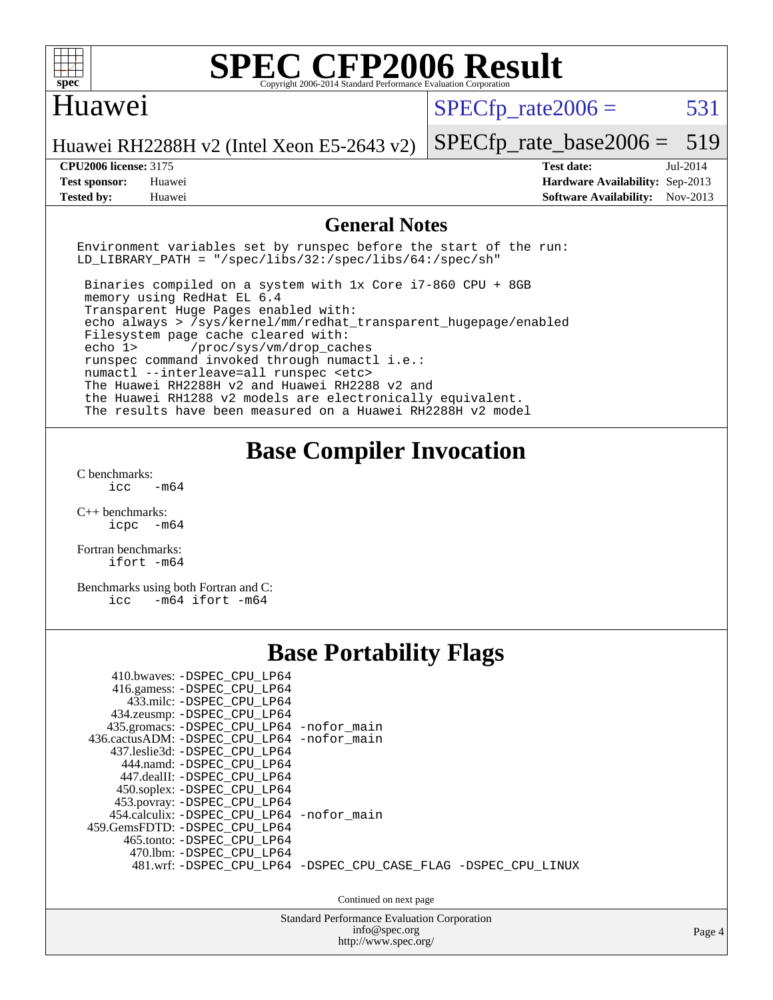

#### Huawei

 $SPECTp\_rate2006 = 531$ 

Huawei RH2288H v2 (Intel Xeon E5-2643 v2)

[SPECfp\\_rate\\_base2006 =](http://www.spec.org/auto/cpu2006/Docs/result-fields.html#SPECfpratebase2006) 519 **[CPU2006 license:](http://www.spec.org/auto/cpu2006/Docs/result-fields.html#CPU2006license)** 3175 **[Test date:](http://www.spec.org/auto/cpu2006/Docs/result-fields.html#Testdate)** Jul-2014

**[Test sponsor:](http://www.spec.org/auto/cpu2006/Docs/result-fields.html#Testsponsor)** Huawei **[Hardware Availability:](http://www.spec.org/auto/cpu2006/Docs/result-fields.html#HardwareAvailability)** Sep-2013 **[Tested by:](http://www.spec.org/auto/cpu2006/Docs/result-fields.html#Testedby)** Huawei **[Software Availability:](http://www.spec.org/auto/cpu2006/Docs/result-fields.html#SoftwareAvailability)** Nov-2013

#### **[General Notes](http://www.spec.org/auto/cpu2006/Docs/result-fields.html#GeneralNotes)**

Environment variables set by runspec before the start of the run: LD LIBRARY PATH = "/spec/libs/32:/spec/libs/64:/spec/sh"

 Binaries compiled on a system with 1x Core i7-860 CPU + 8GB memory using RedHat EL 6.4 Transparent Huge Pages enabled with: echo always > /sys/kernel/mm/redhat\_transparent\_hugepage/enabled Filesystem page cache cleared with: echo 1> /proc/sys/vm/drop\_caches runspec command invoked through numactl i.e.: numactl --interleave=all runspec <etc> The Huawei RH2288H v2 and Huawei RH2288 v2 and the Huawei RH1288 v2 models are electronically equivalent. The results have been measured on a Huawei RH2288H v2 model

#### **[Base Compiler Invocation](http://www.spec.org/auto/cpu2006/Docs/result-fields.html#BaseCompilerInvocation)**

[C benchmarks](http://www.spec.org/auto/cpu2006/Docs/result-fields.html#Cbenchmarks):  $-m64$ 

[C++ benchmarks:](http://www.spec.org/auto/cpu2006/Docs/result-fields.html#CXXbenchmarks) [icpc -m64](http://www.spec.org/cpu2006/results/res2014q3/cpu2006-20140710-30372.flags.html#user_CXXbase_intel_icpc_64bit_bedb90c1146cab66620883ef4f41a67e)

[Fortran benchmarks](http://www.spec.org/auto/cpu2006/Docs/result-fields.html#Fortranbenchmarks): [ifort -m64](http://www.spec.org/cpu2006/results/res2014q3/cpu2006-20140710-30372.flags.html#user_FCbase_intel_ifort_64bit_ee9d0fb25645d0210d97eb0527dcc06e)

[Benchmarks using both Fortran and C](http://www.spec.org/auto/cpu2006/Docs/result-fields.html#BenchmarksusingbothFortranandC): [icc -m64](http://www.spec.org/cpu2006/results/res2014q3/cpu2006-20140710-30372.flags.html#user_CC_FCbase_intel_icc_64bit_0b7121f5ab7cfabee23d88897260401c) [ifort -m64](http://www.spec.org/cpu2006/results/res2014q3/cpu2006-20140710-30372.flags.html#user_CC_FCbase_intel_ifort_64bit_ee9d0fb25645d0210d97eb0527dcc06e)

## **[Base Portability Flags](http://www.spec.org/auto/cpu2006/Docs/result-fields.html#BasePortabilityFlags)**

| 410.bwaves: -DSPEC CPU LP64<br>416.gamess: -DSPEC_CPU_LP64<br>433.milc: -DSPEC CPU LP64<br>434.zeusmp: - DSPEC_CPU_LP64<br>435.gromacs: -DSPEC_CPU_LP64 -nofor_main<br>436.cactusADM: -DSPEC CPU LP64 -nofor main<br>437.leslie3d: -DSPEC CPU LP64<br>444.namd: -DSPEC CPU LP64<br>447.dealII: -DSPEC_CPU_LP64<br>450.soplex: -DSPEC_CPU_LP64 |                                                                |
|-----------------------------------------------------------------------------------------------------------------------------------------------------------------------------------------------------------------------------------------------------------------------------------------------------------------------------------------------|----------------------------------------------------------------|
| 453.povray: -DSPEC_CPU_LP64<br>454.calculix: -DSPEC_CPU_LP64 -nofor_main<br>459.GemsFDTD: -DSPEC CPU LP64<br>465.tonto: - DSPEC CPU LP64<br>470.1bm: - DSPEC CPU LP64                                                                                                                                                                         | 481.wrf: -DSPEC_CPU_LP64 -DSPEC_CPU_CASE_FLAG -DSPEC_CPU_LINUX |
|                                                                                                                                                                                                                                                                                                                                               | Continued on next page                                         |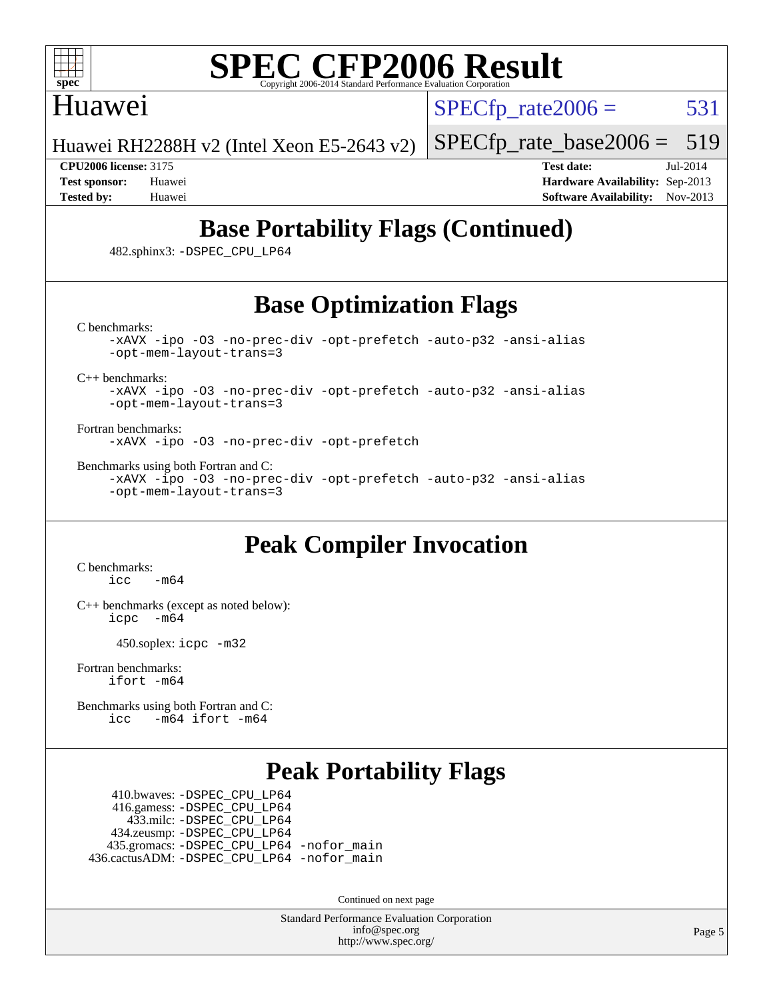

#### Huawei

 $SPECTp\_rate2006 = 531$ 

Huawei RH2288H v2 (Intel Xeon E5-2643 v2)

[SPECfp\\_rate\\_base2006 =](http://www.spec.org/auto/cpu2006/Docs/result-fields.html#SPECfpratebase2006) 519

**[CPU2006 license:](http://www.spec.org/auto/cpu2006/Docs/result-fields.html#CPU2006license)** 3175 **[Test date:](http://www.spec.org/auto/cpu2006/Docs/result-fields.html#Testdate)** Jul-2014 **[Test sponsor:](http://www.spec.org/auto/cpu2006/Docs/result-fields.html#Testsponsor)** Huawei **[Hardware Availability:](http://www.spec.org/auto/cpu2006/Docs/result-fields.html#HardwareAvailability)** Sep-2013 **[Tested by:](http://www.spec.org/auto/cpu2006/Docs/result-fields.html#Testedby)** Huawei **[Software Availability:](http://www.spec.org/auto/cpu2006/Docs/result-fields.html#SoftwareAvailability)** Nov-2013

## **[Base Portability Flags \(Continued\)](http://www.spec.org/auto/cpu2006/Docs/result-fields.html#BasePortabilityFlags)**

482.sphinx3: [-DSPEC\\_CPU\\_LP64](http://www.spec.org/cpu2006/results/res2014q3/cpu2006-20140710-30372.flags.html#suite_basePORTABILITY482_sphinx3_DSPEC_CPU_LP64)

### **[Base Optimization Flags](http://www.spec.org/auto/cpu2006/Docs/result-fields.html#BaseOptimizationFlags)**

[C benchmarks](http://www.spec.org/auto/cpu2006/Docs/result-fields.html#Cbenchmarks):

[-xAVX](http://www.spec.org/cpu2006/results/res2014q3/cpu2006-20140710-30372.flags.html#user_CCbase_f-xAVX) [-ipo](http://www.spec.org/cpu2006/results/res2014q3/cpu2006-20140710-30372.flags.html#user_CCbase_f-ipo) [-O3](http://www.spec.org/cpu2006/results/res2014q3/cpu2006-20140710-30372.flags.html#user_CCbase_f-O3) [-no-prec-div](http://www.spec.org/cpu2006/results/res2014q3/cpu2006-20140710-30372.flags.html#user_CCbase_f-no-prec-div) [-opt-prefetch](http://www.spec.org/cpu2006/results/res2014q3/cpu2006-20140710-30372.flags.html#user_CCbase_f-opt-prefetch) [-auto-p32](http://www.spec.org/cpu2006/results/res2014q3/cpu2006-20140710-30372.flags.html#user_CCbase_f-auto-p32) [-ansi-alias](http://www.spec.org/cpu2006/results/res2014q3/cpu2006-20140710-30372.flags.html#user_CCbase_f-ansi-alias) [-opt-mem-layout-trans=3](http://www.spec.org/cpu2006/results/res2014q3/cpu2006-20140710-30372.flags.html#user_CCbase_f-opt-mem-layout-trans_a7b82ad4bd7abf52556d4961a2ae94d5)

[C++ benchmarks:](http://www.spec.org/auto/cpu2006/Docs/result-fields.html#CXXbenchmarks)

[-xAVX](http://www.spec.org/cpu2006/results/res2014q3/cpu2006-20140710-30372.flags.html#user_CXXbase_f-xAVX) [-ipo](http://www.spec.org/cpu2006/results/res2014q3/cpu2006-20140710-30372.flags.html#user_CXXbase_f-ipo) [-O3](http://www.spec.org/cpu2006/results/res2014q3/cpu2006-20140710-30372.flags.html#user_CXXbase_f-O3) [-no-prec-div](http://www.spec.org/cpu2006/results/res2014q3/cpu2006-20140710-30372.flags.html#user_CXXbase_f-no-prec-div) [-opt-prefetch](http://www.spec.org/cpu2006/results/res2014q3/cpu2006-20140710-30372.flags.html#user_CXXbase_f-opt-prefetch) [-auto-p32](http://www.spec.org/cpu2006/results/res2014q3/cpu2006-20140710-30372.flags.html#user_CXXbase_f-auto-p32) [-ansi-alias](http://www.spec.org/cpu2006/results/res2014q3/cpu2006-20140710-30372.flags.html#user_CXXbase_f-ansi-alias) [-opt-mem-layout-trans=3](http://www.spec.org/cpu2006/results/res2014q3/cpu2006-20140710-30372.flags.html#user_CXXbase_f-opt-mem-layout-trans_a7b82ad4bd7abf52556d4961a2ae94d5)

[Fortran benchmarks](http://www.spec.org/auto/cpu2006/Docs/result-fields.html#Fortranbenchmarks): [-xAVX](http://www.spec.org/cpu2006/results/res2014q3/cpu2006-20140710-30372.flags.html#user_FCbase_f-xAVX) [-ipo](http://www.spec.org/cpu2006/results/res2014q3/cpu2006-20140710-30372.flags.html#user_FCbase_f-ipo) [-O3](http://www.spec.org/cpu2006/results/res2014q3/cpu2006-20140710-30372.flags.html#user_FCbase_f-O3) [-no-prec-div](http://www.spec.org/cpu2006/results/res2014q3/cpu2006-20140710-30372.flags.html#user_FCbase_f-no-prec-div) [-opt-prefetch](http://www.spec.org/cpu2006/results/res2014q3/cpu2006-20140710-30372.flags.html#user_FCbase_f-opt-prefetch)

[Benchmarks using both Fortran and C](http://www.spec.org/auto/cpu2006/Docs/result-fields.html#BenchmarksusingbothFortranandC):

[-xAVX](http://www.spec.org/cpu2006/results/res2014q3/cpu2006-20140710-30372.flags.html#user_CC_FCbase_f-xAVX) [-ipo](http://www.spec.org/cpu2006/results/res2014q3/cpu2006-20140710-30372.flags.html#user_CC_FCbase_f-ipo) [-O3](http://www.spec.org/cpu2006/results/res2014q3/cpu2006-20140710-30372.flags.html#user_CC_FCbase_f-O3) [-no-prec-div](http://www.spec.org/cpu2006/results/res2014q3/cpu2006-20140710-30372.flags.html#user_CC_FCbase_f-no-prec-div) [-opt-prefetch](http://www.spec.org/cpu2006/results/res2014q3/cpu2006-20140710-30372.flags.html#user_CC_FCbase_f-opt-prefetch) [-auto-p32](http://www.spec.org/cpu2006/results/res2014q3/cpu2006-20140710-30372.flags.html#user_CC_FCbase_f-auto-p32) [-ansi-alias](http://www.spec.org/cpu2006/results/res2014q3/cpu2006-20140710-30372.flags.html#user_CC_FCbase_f-ansi-alias) [-opt-mem-layout-trans=3](http://www.spec.org/cpu2006/results/res2014q3/cpu2006-20140710-30372.flags.html#user_CC_FCbase_f-opt-mem-layout-trans_a7b82ad4bd7abf52556d4961a2ae94d5)

### **[Peak Compiler Invocation](http://www.spec.org/auto/cpu2006/Docs/result-fields.html#PeakCompilerInvocation)**

[C benchmarks](http://www.spec.org/auto/cpu2006/Docs/result-fields.html#Cbenchmarks):  $\text{icc}$   $-\text{m64}$ 

[C++ benchmarks \(except as noted below\):](http://www.spec.org/auto/cpu2006/Docs/result-fields.html#CXXbenchmarksexceptasnotedbelow) [icpc -m64](http://www.spec.org/cpu2006/results/res2014q3/cpu2006-20140710-30372.flags.html#user_CXXpeak_intel_icpc_64bit_bedb90c1146cab66620883ef4f41a67e)

450.soplex: [icpc -m32](http://www.spec.org/cpu2006/results/res2014q3/cpu2006-20140710-30372.flags.html#user_peakCXXLD450_soplex_intel_icpc_4e5a5ef1a53fd332b3c49e69c3330699)

[Fortran benchmarks](http://www.spec.org/auto/cpu2006/Docs/result-fields.html#Fortranbenchmarks): [ifort -m64](http://www.spec.org/cpu2006/results/res2014q3/cpu2006-20140710-30372.flags.html#user_FCpeak_intel_ifort_64bit_ee9d0fb25645d0210d97eb0527dcc06e)

[Benchmarks using both Fortran and C](http://www.spec.org/auto/cpu2006/Docs/result-fields.html#BenchmarksusingbothFortranandC): [icc -m64](http://www.spec.org/cpu2006/results/res2014q3/cpu2006-20140710-30372.flags.html#user_CC_FCpeak_intel_icc_64bit_0b7121f5ab7cfabee23d88897260401c) [ifort -m64](http://www.spec.org/cpu2006/results/res2014q3/cpu2006-20140710-30372.flags.html#user_CC_FCpeak_intel_ifort_64bit_ee9d0fb25645d0210d97eb0527dcc06e)

### **[Peak Portability Flags](http://www.spec.org/auto/cpu2006/Docs/result-fields.html#PeakPortabilityFlags)**

 410.bwaves: [-DSPEC\\_CPU\\_LP64](http://www.spec.org/cpu2006/results/res2014q3/cpu2006-20140710-30372.flags.html#suite_peakPORTABILITY410_bwaves_DSPEC_CPU_LP64) 416.gamess: [-DSPEC\\_CPU\\_LP64](http://www.spec.org/cpu2006/results/res2014q3/cpu2006-20140710-30372.flags.html#suite_peakPORTABILITY416_gamess_DSPEC_CPU_LP64) 433.milc: [-DSPEC\\_CPU\\_LP64](http://www.spec.org/cpu2006/results/res2014q3/cpu2006-20140710-30372.flags.html#suite_peakPORTABILITY433_milc_DSPEC_CPU_LP64) 434.zeusmp: [-DSPEC\\_CPU\\_LP64](http://www.spec.org/cpu2006/results/res2014q3/cpu2006-20140710-30372.flags.html#suite_peakPORTABILITY434_zeusmp_DSPEC_CPU_LP64) 435.gromacs: [-DSPEC\\_CPU\\_LP64](http://www.spec.org/cpu2006/results/res2014q3/cpu2006-20140710-30372.flags.html#suite_peakPORTABILITY435_gromacs_DSPEC_CPU_LP64) [-nofor\\_main](http://www.spec.org/cpu2006/results/res2014q3/cpu2006-20140710-30372.flags.html#user_peakLDPORTABILITY435_gromacs_f-nofor_main) 436.cactusADM: [-DSPEC\\_CPU\\_LP64](http://www.spec.org/cpu2006/results/res2014q3/cpu2006-20140710-30372.flags.html#suite_peakPORTABILITY436_cactusADM_DSPEC_CPU_LP64) [-nofor\\_main](http://www.spec.org/cpu2006/results/res2014q3/cpu2006-20140710-30372.flags.html#user_peakLDPORTABILITY436_cactusADM_f-nofor_main)

Continued on next page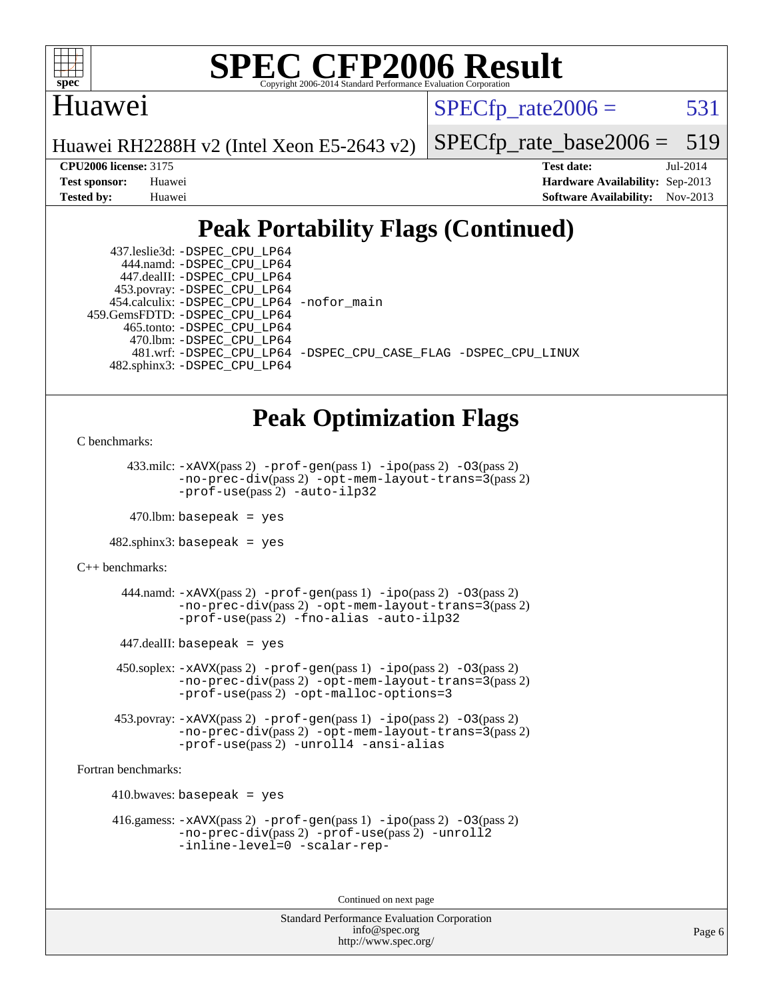

#### Huawei

 $SPECTp\_rate2006 = 531$ 

Huawei RH2288H v2 (Intel Xeon E5-2643 v2)

[SPECfp\\_rate\\_base2006 =](http://www.spec.org/auto/cpu2006/Docs/result-fields.html#SPECfpratebase2006) 519

**[CPU2006 license:](http://www.spec.org/auto/cpu2006/Docs/result-fields.html#CPU2006license)** 3175 **[Test date:](http://www.spec.org/auto/cpu2006/Docs/result-fields.html#Testdate)** Jul-2014 **[Test sponsor:](http://www.spec.org/auto/cpu2006/Docs/result-fields.html#Testsponsor)** Huawei **[Hardware Availability:](http://www.spec.org/auto/cpu2006/Docs/result-fields.html#HardwareAvailability)** Sep-2013 **[Tested by:](http://www.spec.org/auto/cpu2006/Docs/result-fields.html#Testedby)** Huawei **[Software Availability:](http://www.spec.org/auto/cpu2006/Docs/result-fields.html#SoftwareAvailability)** Nov-2013

## **[Peak Portability Flags \(Continued\)](http://www.spec.org/auto/cpu2006/Docs/result-fields.html#PeakPortabilityFlags)**

 437.leslie3d: [-DSPEC\\_CPU\\_LP64](http://www.spec.org/cpu2006/results/res2014q3/cpu2006-20140710-30372.flags.html#suite_peakPORTABILITY437_leslie3d_DSPEC_CPU_LP64) 444.namd: [-DSPEC\\_CPU\\_LP64](http://www.spec.org/cpu2006/results/res2014q3/cpu2006-20140710-30372.flags.html#suite_peakPORTABILITY444_namd_DSPEC_CPU_LP64) 447.dealII: [-DSPEC\\_CPU\\_LP64](http://www.spec.org/cpu2006/results/res2014q3/cpu2006-20140710-30372.flags.html#suite_peakPORTABILITY447_dealII_DSPEC_CPU_LP64) 453.povray: [-DSPEC\\_CPU\\_LP64](http://www.spec.org/cpu2006/results/res2014q3/cpu2006-20140710-30372.flags.html#suite_peakPORTABILITY453_povray_DSPEC_CPU_LP64) 454.calculix: [-DSPEC\\_CPU\\_LP64](http://www.spec.org/cpu2006/results/res2014q3/cpu2006-20140710-30372.flags.html#suite_peakPORTABILITY454_calculix_DSPEC_CPU_LP64) [-nofor\\_main](http://www.spec.org/cpu2006/results/res2014q3/cpu2006-20140710-30372.flags.html#user_peakLDPORTABILITY454_calculix_f-nofor_main) 459.GemsFDTD: [-DSPEC\\_CPU\\_LP64](http://www.spec.org/cpu2006/results/res2014q3/cpu2006-20140710-30372.flags.html#suite_peakPORTABILITY459_GemsFDTD_DSPEC_CPU_LP64) 465.tonto: [-DSPEC\\_CPU\\_LP64](http://www.spec.org/cpu2006/results/res2014q3/cpu2006-20140710-30372.flags.html#suite_peakPORTABILITY465_tonto_DSPEC_CPU_LP64) 470.lbm: [-DSPEC\\_CPU\\_LP64](http://www.spec.org/cpu2006/results/res2014q3/cpu2006-20140710-30372.flags.html#suite_peakPORTABILITY470_lbm_DSPEC_CPU_LP64) 481.wrf: [-DSPEC\\_CPU\\_LP64](http://www.spec.org/cpu2006/results/res2014q3/cpu2006-20140710-30372.flags.html#suite_peakPORTABILITY481_wrf_DSPEC_CPU_LP64) [-DSPEC\\_CPU\\_CASE\\_FLAG](http://www.spec.org/cpu2006/results/res2014q3/cpu2006-20140710-30372.flags.html#b481.wrf_peakCPORTABILITY_DSPEC_CPU_CASE_FLAG) [-DSPEC\\_CPU\\_LINUX](http://www.spec.org/cpu2006/results/res2014q3/cpu2006-20140710-30372.flags.html#b481.wrf_peakCPORTABILITY_DSPEC_CPU_LINUX) 482.sphinx3: [-DSPEC\\_CPU\\_LP64](http://www.spec.org/cpu2006/results/res2014q3/cpu2006-20140710-30372.flags.html#suite_peakPORTABILITY482_sphinx3_DSPEC_CPU_LP64)

## **[Peak Optimization Flags](http://www.spec.org/auto/cpu2006/Docs/result-fields.html#PeakOptimizationFlags)**

[C benchmarks](http://www.spec.org/auto/cpu2006/Docs/result-fields.html#Cbenchmarks):

433.milc:  $-x$ AVX(pass 2)  $-p$ rof-gen(pass 1)  $-p$ ipo(pass 2)  $-03$ (pass 2) [-no-prec-div](http://www.spec.org/cpu2006/results/res2014q3/cpu2006-20140710-30372.flags.html#user_peakPASS2_CFLAGSPASS2_LDFLAGS433_milc_f-no-prec-div)(pass 2) [-opt-mem-layout-trans=3](http://www.spec.org/cpu2006/results/res2014q3/cpu2006-20140710-30372.flags.html#user_peakPASS2_CFLAGS433_milc_f-opt-mem-layout-trans_a7b82ad4bd7abf52556d4961a2ae94d5)(pass 2) [-prof-use](http://www.spec.org/cpu2006/results/res2014q3/cpu2006-20140710-30372.flags.html#user_peakPASS2_CFLAGSPASS2_LDFLAGS433_milc_prof_use_bccf7792157ff70d64e32fe3e1250b55)(pass 2) [-auto-ilp32](http://www.spec.org/cpu2006/results/res2014q3/cpu2006-20140710-30372.flags.html#user_peakCOPTIMIZE433_milc_f-auto-ilp32)

 $470$ .lbm: basepeak = yes

482.sphinx3: basepeak = yes

[C++ benchmarks:](http://www.spec.org/auto/cpu2006/Docs/result-fields.html#CXXbenchmarks)

 $444$ .namd:  $-x$ AVX(pass 2)  $-p$ rof-gen(pass 1)  $-p$ o(pass 2)  $-03$ (pass 2) [-no-prec-div](http://www.spec.org/cpu2006/results/res2014q3/cpu2006-20140710-30372.flags.html#user_peakPASS2_CXXFLAGSPASS2_LDFLAGS444_namd_f-no-prec-div)(pass 2) [-opt-mem-layout-trans=3](http://www.spec.org/cpu2006/results/res2014q3/cpu2006-20140710-30372.flags.html#user_peakPASS2_CXXFLAGS444_namd_f-opt-mem-layout-trans_a7b82ad4bd7abf52556d4961a2ae94d5)(pass 2) [-prof-use](http://www.spec.org/cpu2006/results/res2014q3/cpu2006-20140710-30372.flags.html#user_peakPASS2_CXXFLAGSPASS2_LDFLAGS444_namd_prof_use_bccf7792157ff70d64e32fe3e1250b55)(pass 2) [-fno-alias](http://www.spec.org/cpu2006/results/res2014q3/cpu2006-20140710-30372.flags.html#user_peakCXXOPTIMIZE444_namd_f-no-alias_694e77f6c5a51e658e82ccff53a9e63a) [-auto-ilp32](http://www.spec.org/cpu2006/results/res2014q3/cpu2006-20140710-30372.flags.html#user_peakCXXOPTIMIZE444_namd_f-auto-ilp32)

447.dealII: basepeak = yes

 $450$ .soplex:  $-x$ AVX(pass 2)  $-p$ rof-gen(pass 1)  $-i$ po(pass 2)  $-03$ (pass 2) [-no-prec-div](http://www.spec.org/cpu2006/results/res2014q3/cpu2006-20140710-30372.flags.html#user_peakPASS2_CXXFLAGSPASS2_LDFLAGS450_soplex_f-no-prec-div)(pass 2) [-opt-mem-layout-trans=3](http://www.spec.org/cpu2006/results/res2014q3/cpu2006-20140710-30372.flags.html#user_peakPASS2_CXXFLAGS450_soplex_f-opt-mem-layout-trans_a7b82ad4bd7abf52556d4961a2ae94d5)(pass 2) [-prof-use](http://www.spec.org/cpu2006/results/res2014q3/cpu2006-20140710-30372.flags.html#user_peakPASS2_CXXFLAGSPASS2_LDFLAGS450_soplex_prof_use_bccf7792157ff70d64e32fe3e1250b55)(pass 2) [-opt-malloc-options=3](http://www.spec.org/cpu2006/results/res2014q3/cpu2006-20140710-30372.flags.html#user_peakOPTIMIZE450_soplex_f-opt-malloc-options_13ab9b803cf986b4ee62f0a5998c2238)

 453.povray: [-xAVX](http://www.spec.org/cpu2006/results/res2014q3/cpu2006-20140710-30372.flags.html#user_peakPASS2_CXXFLAGSPASS2_LDFLAGS453_povray_f-xAVX)(pass 2) [-prof-gen](http://www.spec.org/cpu2006/results/res2014q3/cpu2006-20140710-30372.flags.html#user_peakPASS1_CXXFLAGSPASS1_LDFLAGS453_povray_prof_gen_e43856698f6ca7b7e442dfd80e94a8fc)(pass 1) [-ipo](http://www.spec.org/cpu2006/results/res2014q3/cpu2006-20140710-30372.flags.html#user_peakPASS2_CXXFLAGSPASS2_LDFLAGS453_povray_f-ipo)(pass 2) [-O3](http://www.spec.org/cpu2006/results/res2014q3/cpu2006-20140710-30372.flags.html#user_peakPASS2_CXXFLAGSPASS2_LDFLAGS453_povray_f-O3)(pass 2) [-no-prec-div](http://www.spec.org/cpu2006/results/res2014q3/cpu2006-20140710-30372.flags.html#user_peakPASS2_CXXFLAGSPASS2_LDFLAGS453_povray_f-no-prec-div)(pass 2) [-opt-mem-layout-trans=3](http://www.spec.org/cpu2006/results/res2014q3/cpu2006-20140710-30372.flags.html#user_peakPASS2_CXXFLAGS453_povray_f-opt-mem-layout-trans_a7b82ad4bd7abf52556d4961a2ae94d5)(pass 2) [-prof-use](http://www.spec.org/cpu2006/results/res2014q3/cpu2006-20140710-30372.flags.html#user_peakPASS2_CXXFLAGSPASS2_LDFLAGS453_povray_prof_use_bccf7792157ff70d64e32fe3e1250b55)(pass 2) [-unroll4](http://www.spec.org/cpu2006/results/res2014q3/cpu2006-20140710-30372.flags.html#user_peakCXXOPTIMIZE453_povray_f-unroll_4e5e4ed65b7fd20bdcd365bec371b81f) [-ansi-alias](http://www.spec.org/cpu2006/results/res2014q3/cpu2006-20140710-30372.flags.html#user_peakCXXOPTIMIZE453_povray_f-ansi-alias)

[Fortran benchmarks](http://www.spec.org/auto/cpu2006/Docs/result-fields.html#Fortranbenchmarks):

 $410.bwaves: basepeak = yes$ 

 416.gamess: [-xAVX](http://www.spec.org/cpu2006/results/res2014q3/cpu2006-20140710-30372.flags.html#user_peakPASS2_FFLAGSPASS2_LDFLAGS416_gamess_f-xAVX)(pass 2) [-prof-gen](http://www.spec.org/cpu2006/results/res2014q3/cpu2006-20140710-30372.flags.html#user_peakPASS1_FFLAGSPASS1_LDFLAGS416_gamess_prof_gen_e43856698f6ca7b7e442dfd80e94a8fc)(pass 1) [-ipo](http://www.spec.org/cpu2006/results/res2014q3/cpu2006-20140710-30372.flags.html#user_peakPASS2_FFLAGSPASS2_LDFLAGS416_gamess_f-ipo)(pass 2) [-O3](http://www.spec.org/cpu2006/results/res2014q3/cpu2006-20140710-30372.flags.html#user_peakPASS2_FFLAGSPASS2_LDFLAGS416_gamess_f-O3)(pass 2) [-no-prec-div](http://www.spec.org/cpu2006/results/res2014q3/cpu2006-20140710-30372.flags.html#user_peakPASS2_FFLAGSPASS2_LDFLAGS416_gamess_f-no-prec-div)(pass 2) [-prof-use](http://www.spec.org/cpu2006/results/res2014q3/cpu2006-20140710-30372.flags.html#user_peakPASS2_FFLAGSPASS2_LDFLAGS416_gamess_prof_use_bccf7792157ff70d64e32fe3e1250b55)(pass 2) [-unroll2](http://www.spec.org/cpu2006/results/res2014q3/cpu2006-20140710-30372.flags.html#user_peakOPTIMIZE416_gamess_f-unroll_784dae83bebfb236979b41d2422d7ec2) [-inline-level=0](http://www.spec.org/cpu2006/results/res2014q3/cpu2006-20140710-30372.flags.html#user_peakOPTIMIZE416_gamess_f-inline-level_318d07a09274ad25e8d15dbfaa68ba50) [-scalar-rep-](http://www.spec.org/cpu2006/results/res2014q3/cpu2006-20140710-30372.flags.html#user_peakOPTIMIZE416_gamess_f-disablescalarrep_abbcad04450fb118e4809c81d83c8a1d)

Continued on next page

```
Standard Performance Evaluation Corporation
   info@spec.org
http://www.spec.org/
```